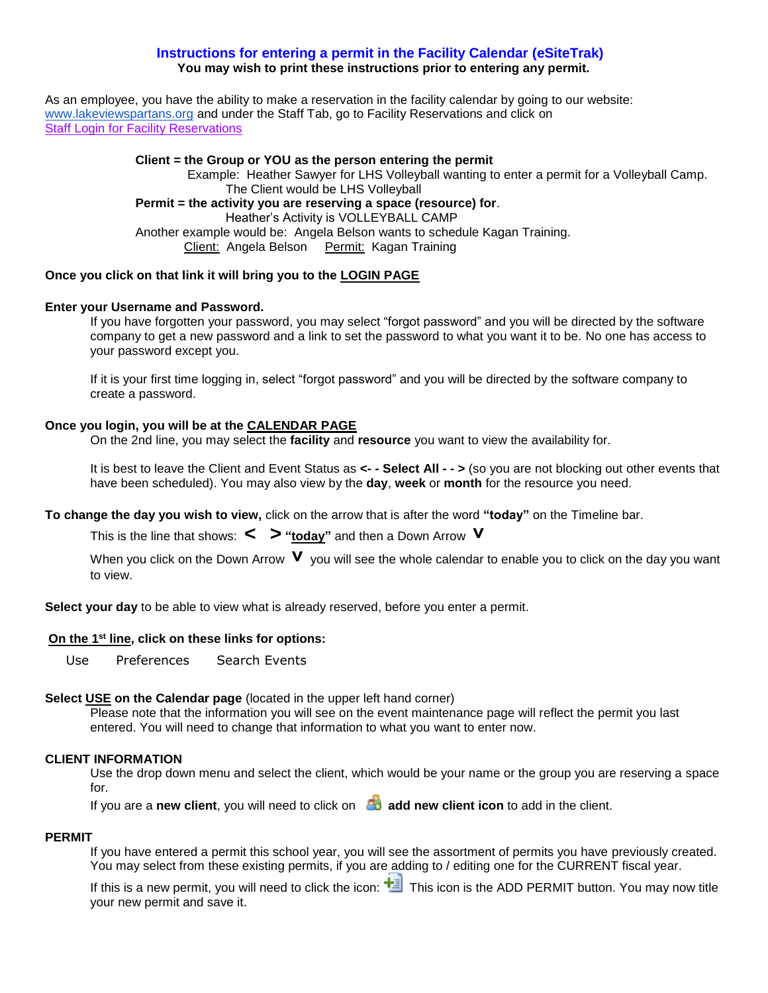## **Instructions for entering a permit in the Facility Calendar (eSiteTrak) You may wish to print these instructions prior to entering any permit.**

As an employee, you have the ability to make a reservation in the facility calendar by going to our website: [www.lakeviewspartans.org](http://www.lakeviewspartans.org/) and under the Staff Tab, go to Facility Reservations and click on Staff Login for Facility Reservations

# **Client = the Group or YOU as the person entering the permit**

Example: Heather Sawyer for LHS Volleyball wanting to enter a permit for a Volleyball Camp. The Client would be LHS Volleyball **Permit = the activity you are reserving a space (resource) for**. Heather's Activity is VOLLEYBALL CAMP Another example would be: Angela Belson wants to schedule Kagan Training. Client: Angela Belson Permit: Kagan Training

## **Once you click on that link it will bring you to the LOGIN PAGE**

## **Enter your Username and Password.**

If you have forgotten your password, you may select "forgot password" and you will be directed by the software company to get a new password and a link to set the password to what you want it to be. No one has access to your password except you.

If it is your first time logging in, select "forgot password" and you will be directed by the software company to create a password.

### **Once you login, you will be at the CALENDAR PAGE**

On the 2nd line, you may select the **facility** and **resource** you want to view the availability for.

It is best to leave the Client and Event Status as **<- - Select All - - >** (so you are not blocking out other events that have been scheduled). You may also view by the **day**, **week** or **month** for the resource you need.

**To change the day you wish to view,** click on the arrow that is after the word **"today"** on the Timeline bar.

This is the line that shows: **< > "today"** and then a Down Arrow **˅**

When you click on the Down Arrow **V** you will see the whole calendar to enable you to click on the day you want to view.

**Select your day** to be able to view what is already reserved, before you enter a permit.

### **On the 1st line, click on these links for options:**

Use Preferences Search Events

### **Select USE on the Calendar page** (located in the upper left hand corner)

Please note that the information you will see on the event maintenance page will reflect the permit you last entered. You will need to change that information to what you want to enter now.

### **CLIENT INFORMATION**

Use the drop down menu and select the client, which would be your name or the group you are reserving a space for.

If you are a **new client**, you will need to click on **add new client icon** to add in the client.

### **PERMIT**

If you have entered a permit this school year, you will see the assortment of permits you have previously created. You may select from these existing permits, if you are adding to / editing one for the CURRENT fiscal year.

If this is a new permit, you will need to click the icon:  $\mathbf{t}$ . This icon is the ADD PERMIT button. You may now title your new permit and save it.